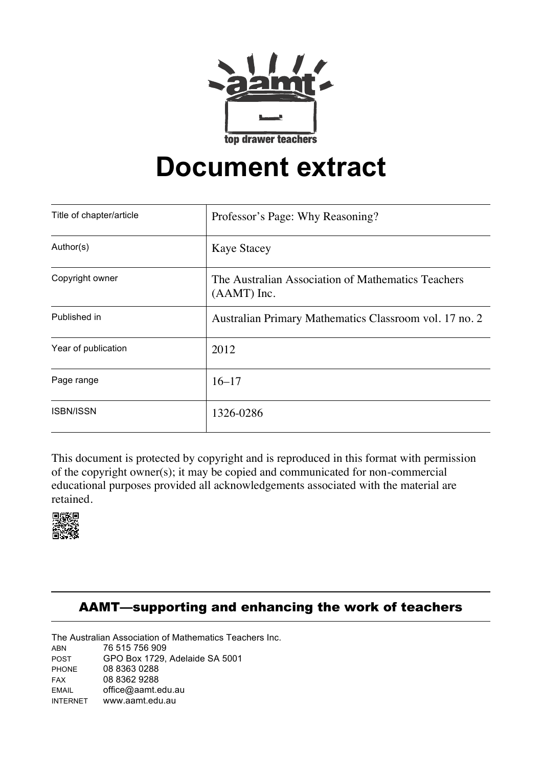

## **Document extract**

| Title of chapter/article | Professor's Page: Why Reasoning?                                    |
|--------------------------|---------------------------------------------------------------------|
| Author(s)                | <b>Kaye Stacey</b>                                                  |
| Copyright owner          | The Australian Association of Mathematics Teachers<br>$(AAMT)$ Inc. |
| Published in             | Australian Primary Mathematics Classroom vol. 17 no. 2              |
| Year of publication      | 2012                                                                |
| Page range               | $16 - 17$                                                           |
| <b>ISBN/ISSN</b>         | 1326-0286                                                           |

 of the copyright owner(s); it may be copied and communicated for non-commercial This document is protected by copyright and is reproduced in this format with permission educational purposes provided all acknowledgements associated with the material are retained.



## AAMT—supporting and enhancing the work of teachers

The Australian Association of Mathematics Teachers Inc.

ABN 76 515 756 909<br>POST GPO Box 1729. GPO Box 1729, Adelaide SA 5001 PHONE 08 8363 0288 FAX 08 8362 9288 EMAIL office@aamt.edu.au<br>INTERNET www.aamt.edu.au www.aamt.edu.au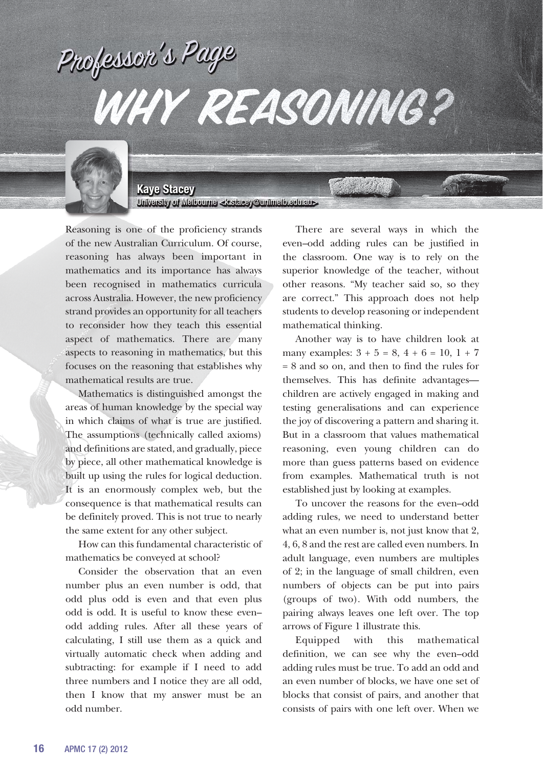## Professor's Page Why reasoning?



**Kaye Stacey**  University of Melbourne <k.stacey@unimelb.edu.au>

Reasoning is one of the proficiency strands of the new Australian Curriculum. Of course, reasoning has always been important in mathematics and its importance has always been recognised in mathematics curricula across Australia. However, the new proficiency strand provides an opportunity for all teachers to reconsider how they teach this essential aspect of mathematics. There are many aspects to reasoning in mathematics, but this focuses on the reasoning that establishes why mathematical results are true.

Mathematics is distinguished amongst the areas of human knowledge by the special way in which claims of what is true are justified. The assumptions (technically called axioms) and definitions are stated, and gradually, piece by piece, all other mathematical knowledge is built up using the rules for logical deduction. It is an enormously complex web, but the consequence is that mathematical results can be definitely proved. This is not true to nearly the same extent for any other subject.

How can this fundamental characteristic of mathematics be conveyed at school?

Consider the observation that an even number plus an even number is odd, that odd plus odd is even and that even plus odd is odd. It is useful to know these even– odd adding rules. After all these years of calculating, I still use them as a quick and virtually automatic check when adding and subtracting: for example if I need to add three numbers and I notice they are all odd, then I know that my answer must be an odd number.

There are several ways in which the even–odd adding rules can be justified in the classroom. One way is to rely on the superior knowledge of the teacher, without other reasons. "My teacher said so, so they are correct." This approach does not help students to develop reasoning or independent mathematical thinking.

Another way is to have children look at many examples:  $3 + 5 = 8$ ,  $4 + 6 = 10$ ,  $1 + 7$ = 8 and so on, and then to find the rules for themselves. This has definite advantages children are actively engaged in making and testing generalisations and can experience the joy of discovering a pattern and sharing it. But in a classroom that values mathematical reasoning, even young children can do more than guess patterns based on evidence from examples. Mathematical truth is not established just by looking at examples.

To uncover the reasons for the even–odd adding rules, we need to understand better what an even number is, not just know that 2, 4, 6, 8 and the rest are called even numbers. In adult language, even numbers are multiples of 2; in the language of small children, even numbers of objects can be put into pairs (groups of two). With odd numbers, the pairing always leaves one left over. The top arrows of Figure 1 illustrate this.

Equipped with this mathematical definition, we can see why the even–odd adding rules must be true. To add an odd and an even number of blocks, we have one set of blocks that consist of pairs, and another that consists of pairs with one left over. When we